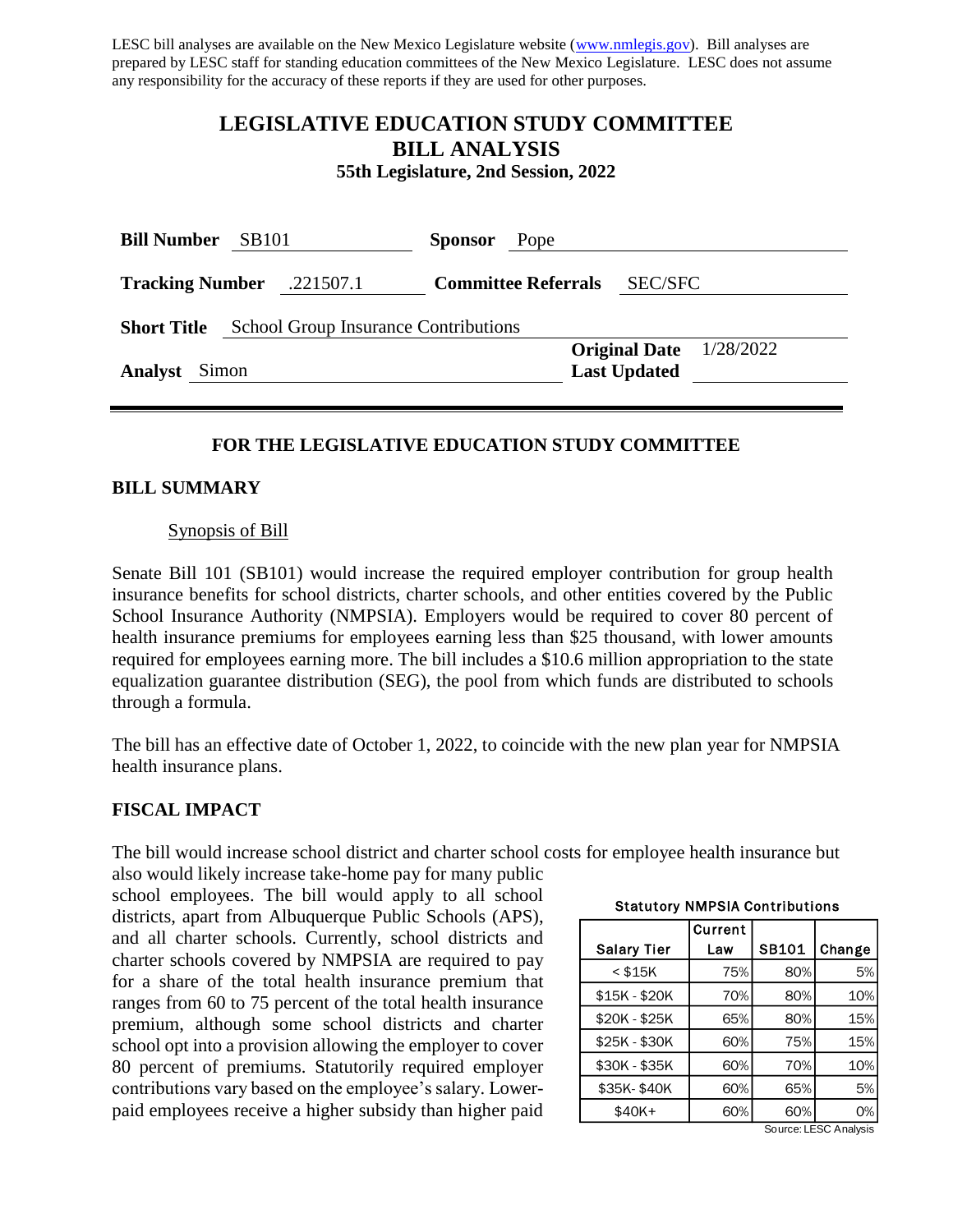LESC bill analyses are available on the New Mexico Legislature website [\(www.nmlegis.gov\)](http://www.nmlegis.gov/). Bill analyses are prepared by LESC staff for standing education committees of the New Mexico Legislature. LESC does not assume any responsibility for the accuracy of these reports if they are used for other purposes.

# **LEGISLATIVE EDUCATION STUDY COMMITTEE BILL ANALYSIS**

**55th Legislature, 2nd Session, 2022**

| <b>Bill Number</b><br><b>SB101</b>                                |  | Pope<br><b>Sponsor</b> |  |                            |                     |                           |  |  |
|-------------------------------------------------------------------|--|------------------------|--|----------------------------|---------------------|---------------------------|--|--|
| <b>Tracking Number</b> .221507.1                                  |  |                        |  | <b>Committee Referrals</b> | <b>SEC/SFC</b>      |                           |  |  |
| <b>School Group Insurance Contributions</b><br><b>Short Title</b> |  |                        |  |                            |                     |                           |  |  |
|                                                                   |  |                        |  |                            |                     | Original Date $1/28/2022$ |  |  |
| <b>Analyst</b><br>Simon                                           |  |                        |  |                            | <b>Last Updated</b> |                           |  |  |

### **FOR THE LEGISLATIVE EDUCATION STUDY COMMITTEE**

#### **BILL SUMMARY**

#### Synopsis of Bill

Senate Bill 101 (SB101) would increase the required employer contribution for group health insurance benefits for school districts, charter schools, and other entities covered by the Public School Insurance Authority (NMPSIA). Employers would be required to cover 80 percent of health insurance premiums for employees earning less than \$25 thousand, with lower amounts required for employees earning more. The bill includes a \$10.6 million appropriation to the state equalization guarantee distribution (SEG), the pool from which funds are distributed to schools through a formula.

The bill has an effective date of October 1, 2022, to coincide with the new plan year for NMPSIA health insurance plans.

#### **FISCAL IMPACT**

The bill would increase school district and charter school costs for employee health insurance but

also would likely increase take-home pay for many public school employees. The bill would apply to all school districts, apart from Albuquerque Public Schools (APS), and all charter schools. Currently, school districts and charter schools covered by NMPSIA are required to pay for a share of the total health insurance premium that ranges from 60 to 75 percent of the total health insurance premium, although some school districts and charter school opt into a provision allowing the employer to cover 80 percent of premiums. Statutorily required employer contributions vary based on the employee's salary. Lowerpaid employees receive a higher subsidy than higher paid

| <b>Statutuly INNIFOIA CONTINUES</b> |         |       |        |  |  |  |  |
|-------------------------------------|---------|-------|--------|--|--|--|--|
|                                     | Current |       |        |  |  |  |  |
| <b>Salary Tier</b>                  | Law     | SB101 | Change |  |  |  |  |
| $<$ \$15K                           | 75%     | 80%   | 5%     |  |  |  |  |
| \$15K - \$20K                       | 70%     | 80%   | 10%    |  |  |  |  |
| \$20K - \$25K                       | 65%     | 80%   | 15%    |  |  |  |  |
| \$25K - \$30K                       | 60%     | 75%   | 15%    |  |  |  |  |
| \$30K - \$35K                       | 60%     | 70%   | 10%    |  |  |  |  |
| \$35K-\$40K                         | 60%     | 65%   | 5%     |  |  |  |  |
| \$40K+                              | 60%     | 60%   | 0%     |  |  |  |  |

#### Statutory NMPSIA Contributions

Source: LESC Analysis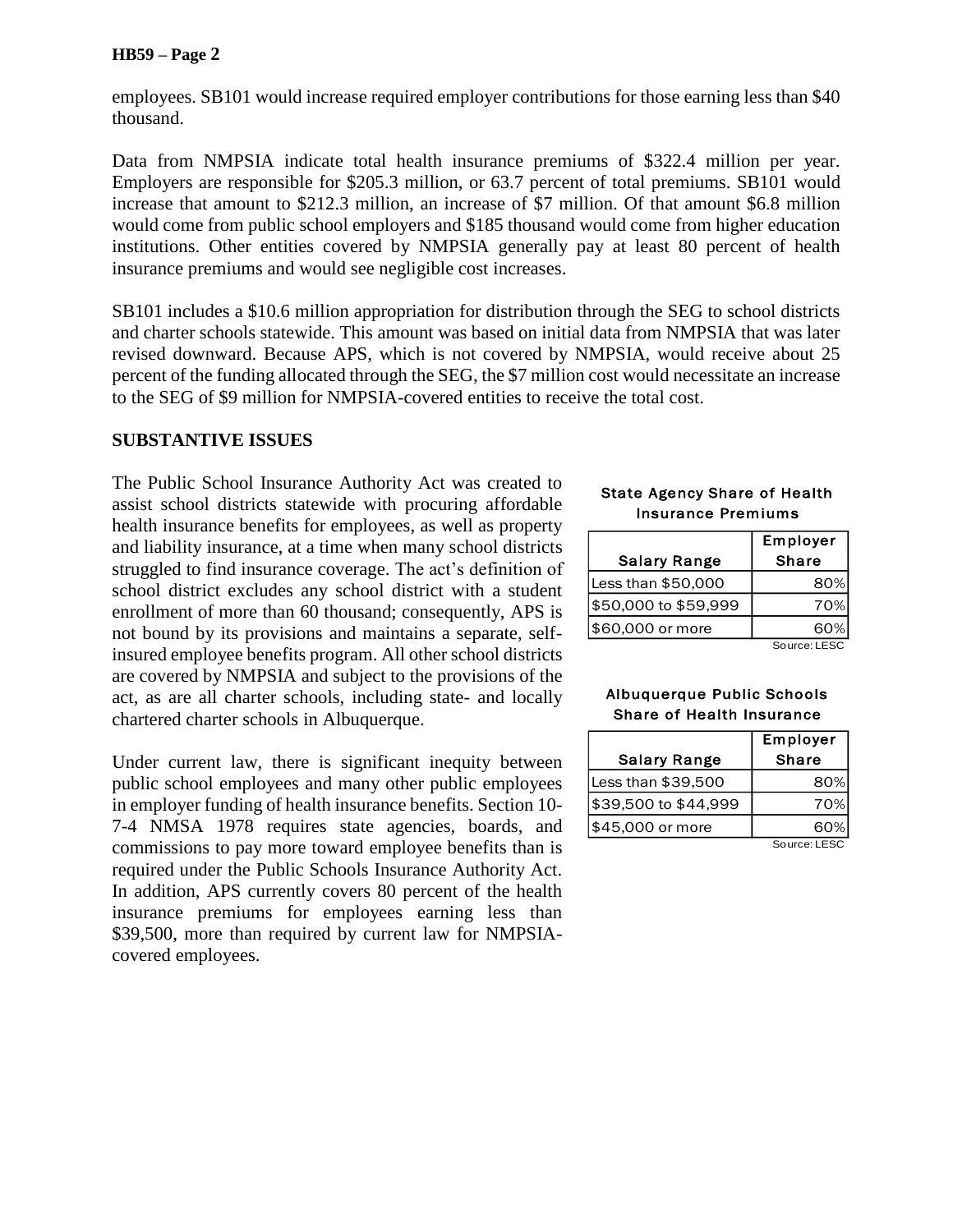#### **HB59 – Page 2**

employees. SB101 would increase required employer contributions for those earning less than \$40 thousand.

Data from NMPSIA indicate total health insurance premiums of \$322.4 million per year. Employers are responsible for \$205.3 million, or 63.7 percent of total premiums. SB101 would increase that amount to \$212.3 million, an increase of \$7 million. Of that amount \$6.8 million would come from public school employers and \$185 thousand would come from higher education institutions. Other entities covered by NMPSIA generally pay at least 80 percent of health insurance premiums and would see negligible cost increases.

SB101 includes a \$10.6 million appropriation for distribution through the SEG to school districts and charter schools statewide. This amount was based on initial data from NMPSIA that was later revised downward. Because APS, which is not covered by NMPSIA, would receive about 25 percent of the funding allocated through the SEG, the \$7 million cost would necessitate an increase to the SEG of \$9 million for NMPSIA-covered entities to receive the total cost.

### **SUBSTANTIVE ISSUES**

The Public School Insurance Authority Act was created to assist school districts statewide with procuring affordable health insurance benefits for employees, as well as property and liability insurance, at a time when many school districts struggled to find insurance coverage. The act's definition of school district excludes any school district with a student enrollment of more than 60 thousand; consequently, APS is not bound by its provisions and maintains a separate, selfinsured employee benefits program. All other school districts are covered by NMPSIA and subject to the provisions of the act, as are all charter schools, including state- and locally chartered charter schools in Albuquerque.

Under current law, there is significant inequity between public school employees and many other public employees in employer funding of health insurance benefits. Section 10- 7-4 NMSA 1978 requires state agencies, boards, and commissions to pay more toward employee benefits than is required under the Public Schools Insurance Authority Act. In addition, APS currently covers 80 percent of the health insurance premiums for employees earning less than \$39,500, more than required by current law for NMPSIAcovered employees.

#### State Agency Share of Health Insurance Premiums

|                      | Employer     |
|----------------------|--------------|
| <b>Salary Range</b>  | <b>Share</b> |
| Less than \$50,000   | 80%          |
| \$50,000 to \$59,999 | 70%          |
| \$60,000 or more     | ഒറ%          |

Source: LESC

#### Albuquerque Public Schools Share of Health Insurance

|                      | Employer     |  |
|----------------------|--------------|--|
| <b>Salary Range</b>  | <b>Share</b> |  |
| Less than \$39,500   | 80%          |  |
| \$39,500 to \$44,999 | 70%          |  |
| \$45,000 or more     |              |  |

Source: LESC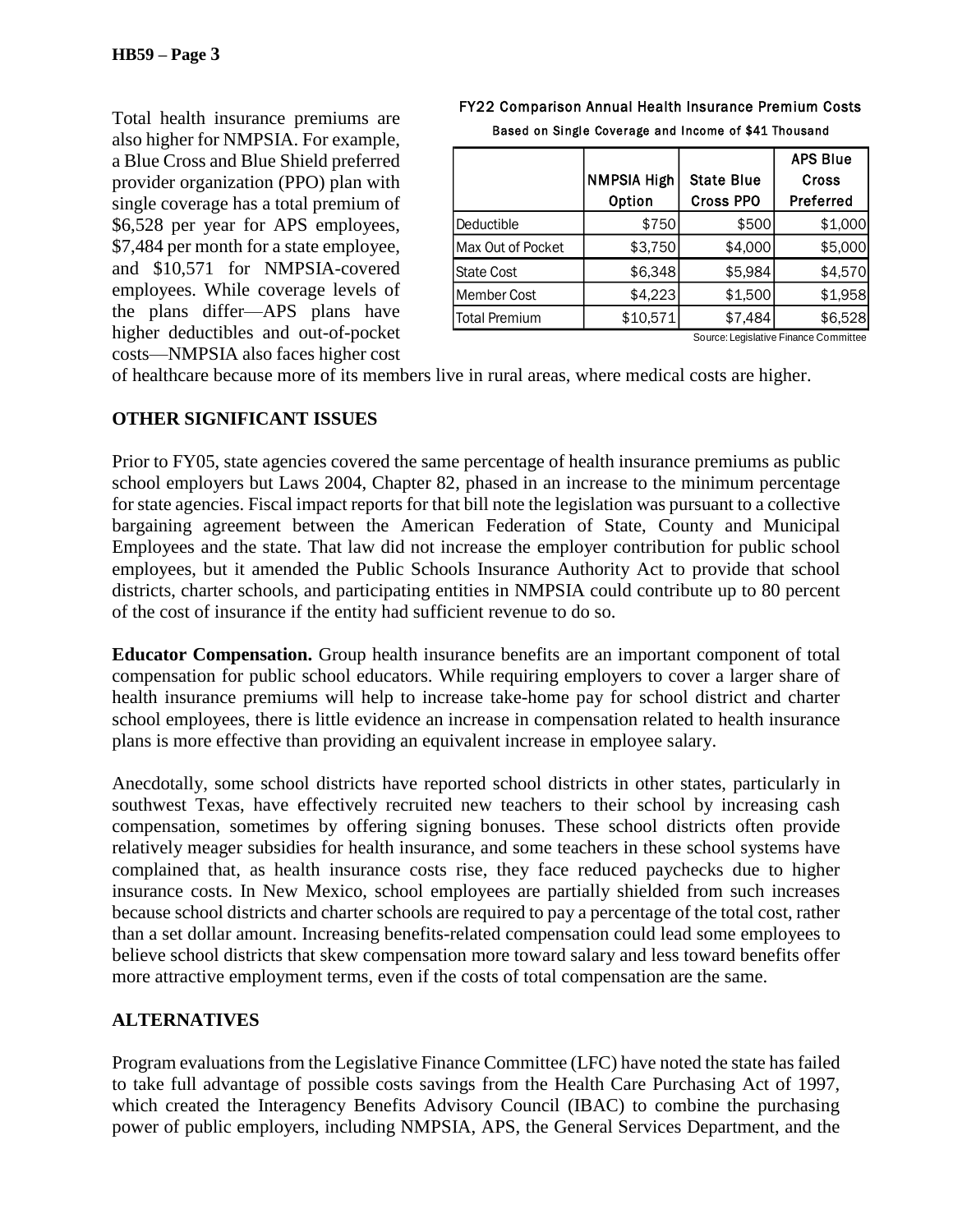Total health insurance premiums are also higher for NMPSIA. For example, a Blue Cross and Blue Shield preferred provider organization (PPO) plan with single coverage has a total premium of \$6,528 per year for APS employees, \$7,484 per month for a state employee, and \$10,571 for NMPSIA-covered employees. While coverage levels of the plans differ—APS plans have higher deductibles and out-of-pocket costs—NMPSIA also faces higher cost

#### NMPSIA High Option State Blue Cross PPO APS Blue Cross Preferred Deductible \$750 \$500 \$1,000 Max Out of Pocket | \$3,750 | \$4,000 | \$5,000 State Cost | \$6.348 | \$5.984 | \$4.570 Member Cost | \$4,223 | \$1,500 | \$1,958 Total Premium  $\begin{array}{ccc} \vert & \quad \ \ \, \ast{\bf 10.571} \vert & \quad \ \ \, \ast{\bf 7.484} \vert & \quad \ \ \, \ast{\bf 6.528} \end{array}$

#### FY22 Comparison Annual Health Insurance Premium Costs Based on Single Coverage and Income of \$41 Thousand

Source: Legislative Finance Committee

of healthcare because more of its members live in rural areas, where medical costs are higher.

### **OTHER SIGNIFICANT ISSUES**

Prior to FY05, state agencies covered the same percentage of health insurance premiums as public school employers but Laws 2004, Chapter 82, phased in an increase to the minimum percentage for state agencies. Fiscal impact reports for that bill note the legislation was pursuant to a collective bargaining agreement between the American Federation of State, County and Municipal Employees and the state. That law did not increase the employer contribution for public school employees, but it amended the Public Schools Insurance Authority Act to provide that school districts, charter schools, and participating entities in NMPSIA could contribute up to 80 percent of the cost of insurance if the entity had sufficient revenue to do so.

**Educator Compensation.** Group health insurance benefits are an important component of total compensation for public school educators. While requiring employers to cover a larger share of health insurance premiums will help to increase take-home pay for school district and charter school employees, there is little evidence an increase in compensation related to health insurance plans is more effective than providing an equivalent increase in employee salary.

Anecdotally, some school districts have reported school districts in other states, particularly in southwest Texas, have effectively recruited new teachers to their school by increasing cash compensation, sometimes by offering signing bonuses. These school districts often provide relatively meager subsidies for health insurance, and some teachers in these school systems have complained that, as health insurance costs rise, they face reduced paychecks due to higher insurance costs. In New Mexico, school employees are partially shielded from such increases because school districts and charter schools are required to pay a percentage of the total cost, rather than a set dollar amount. Increasing benefits-related compensation could lead some employees to believe school districts that skew compensation more toward salary and less toward benefits offer more attractive employment terms, even if the costs of total compensation are the same.

## **ALTERNATIVES**

Program evaluations from the Legislative Finance Committee (LFC) have noted the state has failed to take full advantage of possible costs savings from the Health Care Purchasing Act of 1997, which created the Interagency Benefits Advisory Council (IBAC) to combine the purchasing power of public employers, including NMPSIA, APS, the General Services Department, and the